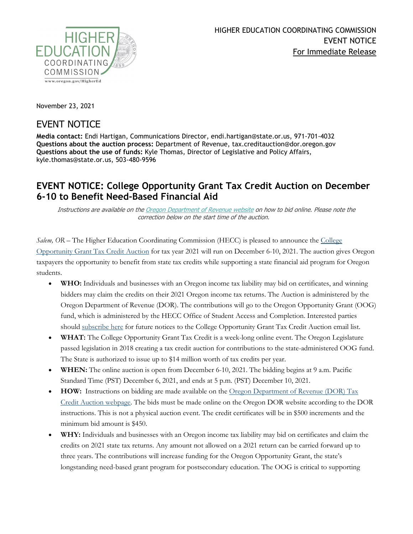

November 23, 2021

## EVENT NOTICE

**Media contact:** Endi Hartigan, Communications Director, endi.hartigan@state.or.us, 971-701-4032 **Questions about the auction process:** Department of Revenue, tax.creditauction@dor.oregon.gov **Questions about the use of funds:** Kyle Thomas, Director of Legislative and Policy Affairs, kyle.thomas@state.or.us, 503-480-9596

## **EVENT NOTICE: College Opportunity Grant Tax Credit Auction on December 6-10 to Benefit Need-Based Financial Aid**

Instructions are available on the [Oregon Department of Revenue](https://www.oregon.gov/DOR/pages/auction.aspx) website on how to bid online. Please note the correction below on the start time of the auction.

*Salem, OR –* The Higher Education Coordinating Commission (HECC) is pleased to announce the College [Opportunity Grant Tax Credit Auction](https://www.oregon.gov/highered/about/Pages/OOG-tax-credit-auction.aspx) for tax year 2021 will run on December 6-10, 2021. The auction gives Oregon taxpayers the opportunity to benefit from state tax credits while supporting a state financial aid program for Oregon students.

- **WHO:** Individuals and businesses with an Oregon income tax liability may bid on certificates, and winning bidders may claim the credits on their 2021 Oregon income tax returns. The Auction is administered by the Oregon Department of Revenue (DOR). The contributions will go to the Oregon Opportunity Grant (OOG) fund, which is administered by the HECC Office of Student Access and Completion. Interested parties should [subscribe here](https://oregon.us3.list-manage.com/subscribe?u=4594642efda13a6f682ce6914&id=f21ad8499e) for future notices to the College Opportunity Grant Tax Credit Auction email list.
- **WHAT:** The College Opportunity Grant Tax Credit is a week-long online event. The Oregon Legislature passed legislation in 2018 creating a tax credit auction for contributions to the state-administered OOG fund. The State is authorized to issue up to \$14 million worth of tax credits per year.
- **WHEN:** The online auction is open from December 6-10, 2021. The bidding begins at 9 a.m. Pacific Standard Time (PST) December 6, 2021, and ends at 5 p.m. (PST) December 10, 2021.
- **HOW:** Instructions on bidding are made available on the [Oregon Department of Revenue \(DOR\) Tax](https://www.oregon.gov/DOR/pages/auction.aspx)  [Credit Auction](https://www.oregon.gov/DOR/pages/auction.aspx) webpage. The bids must be made online on the Oregon DOR website according to the DOR instructions. This is not a physical auction event. The credit certificates will be in \$500 increments and the minimum bid amount is \$450.
- **WHY:** Individuals and businesses with an Oregon income tax liability may bid on certificates and claim the credits on 2021 state tax returns. Any amount not allowed on a 2021 return can be carried forward up to three years. The contributions will increase funding for the Oregon Opportunity Grant, the state's longstanding need-based grant program for postsecondary education. The OOG is critical to supporting